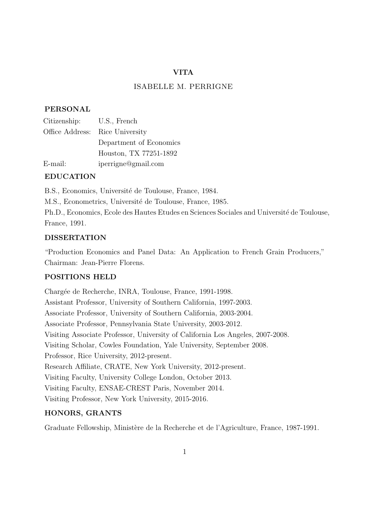# VITA

# ISABELLE M. PERRIGNE

### PERSONAL

| Citizenship: | U.S., French                    |
|--------------|---------------------------------|
|              | Office Address: Rice University |
|              | Department of Economics         |
|              | Houston, TX 77251-1892          |
| $E$ -mail:   | iperrigne@gmail.com             |

### EDUCATION

B.S., Economics, Université de Toulouse, France, 1984. M.S., Econometrics, Université de Toulouse, France, 1985. Ph.D., Economics, Ecole des Hautes Etudes en Sciences Sociales and Université de Toulouse, France, 1991.

### DISSERTATION

"Production Economics and Panel Data: An Application to French Grain Producers," Chairman: Jean-Pierre Florens.

# POSITIONS HELD

Charg´ee de Recherche, INRA, Toulouse, France, 1991-1998. Assistant Professor, University of Southern California, 1997-2003. Associate Professor, University of Southern California, 2003-2004. Associate Professor, Pennsylvania State University, 2003-2012. Visiting Associate Professor, University of California Los Angeles, 2007-2008. Visiting Scholar, Cowles Foundation, Yale University, September 2008. Professor, Rice University, 2012-present. Research Affiliate, CRATE, New York University, 2012-present. Visiting Faculty, University College London, October 2013. Visiting Faculty, ENSAE-CREST Paris, November 2014. Visiting Professor, New York University, 2015-2016.

## HONORS, GRANTS

Graduate Fellowship, Ministère de la Recherche et de l'Agriculture, France, 1987-1991.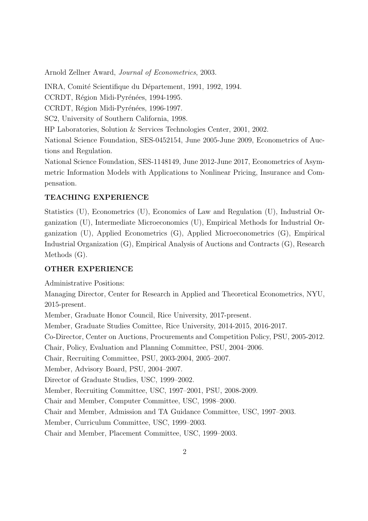Arnold Zellner Award, Journal of Econometrics, 2003.

INRA, Comité Scientifique du Département, 1991, 1992, 1994.

CCRDT, Région Midi-Pyrénées, 1994-1995.

CCRDT, Région Midi-Pyrénées, 1996-1997.

SC2, University of Southern California, 1998.

HP Laboratories, Solution & Services Technologies Center, 2001, 2002.

National Science Foundation, SES-0452154, June 2005-June 2009, Econometrics of Auctions and Regulation.

National Science Foundation, SES-1148149, June 2012-June 2017, Econometrics of Asymmetric Information Models with Applications to Nonlinear Pricing, Insurance and Compensation.

### TEACHING EXPERIENCE

Statistics (U), Econometrics (U), Economics of Law and Regulation (U), Industrial Organization (U), Intermediate Microeconomics (U), Empirical Methods for Industrial Organization (U), Applied Econometrics (G), Applied Microeconometrics (G), Empirical Industrial Organization (G), Empirical Analysis of Auctions and Contracts (G), Research Methods (G).

### OTHER EXPERIENCE

Administrative Positions:

Managing Director, Center for Research in Applied and Theoretical Econometrics, NYU, 2015-present.

Member, Graduate Honor Council, Rice University, 2017-present.

Member, Graduate Studies Comittee, Rice University, 2014-2015, 2016-2017.

Co-Director, Center on Auctions, Procurements and Competition Policy, PSU, 2005-2012.

Chair, Policy, Evaluation and Planning Committee, PSU, 2004–2006.

Chair, Recruiting Committee, PSU, 2003-2004, 2005–2007.

Member, Advisory Board, PSU, 2004–2007.

Director of Graduate Studies, USC, 1999–2002.

Member, Recruiting Committee, USC, 1997–2001, PSU, 2008-2009.

Chair and Member, Computer Committee, USC, 1998–2000.

Chair and Member, Admission and TA Guidance Committee, USC, 1997–2003.

Member, Curriculum Committee, USC, 1999–2003.

Chair and Member, Placement Committee, USC, 1999–2003.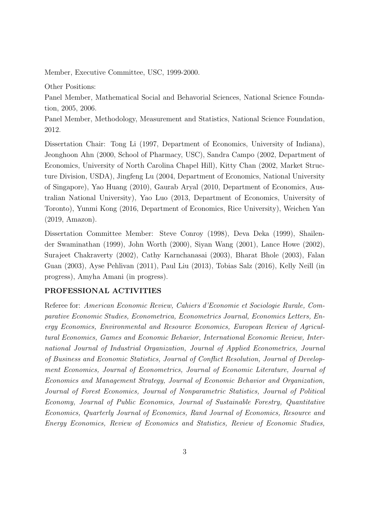Member, Executive Committee, USC, 1999-2000.

Other Positions:

Panel Member, Mathematical Social and Behavorial Sciences, National Science Foundation, 2005, 2006.

Panel Member, Methodology, Measurement and Statistics, National Science Foundation, 2012.

Dissertation Chair: Tong Li (1997, Department of Economics, University of Indiana), Jeonghoon Ahn (2000, School of Pharmacy, USC), Sandra Campo (2002, Department of Economics, University of North Carolina Chapel Hill), Kitty Chan (2002, Market Structure Division, USDA), Jingfeng Lu (2004, Department of Economics, National University of Singapore), Yao Huang (2010), Gaurab Aryal (2010, Department of Economics, Australian National University), Yao Luo (2013, Department of Economics, University of Toronto), Yunmi Kong (2016, Department of Economics, Rice University), Weichen Yan (2019, Amazon).

Dissertation Committee Member: Steve Conroy (1998), Deva Deka (1999), Shailender Swaminathan (1999), John Worth (2000), Siyan Wang (2001), Lance Howe (2002), Surajeet Chakraverty (2002), Cathy Karnchanasai (2003), Bharat Bhole (2003), Falan Guan (2003), Ayse Pehlivan (2011), Paul Liu (2013), Tobias Salz (2016), Kelly Neill (in progress), Amyha Amani (in progress).

## PROFESSIONAL ACTIVITIES

Referee for: American Economic Review, Cahiers d'Economie et Sociologie Rurale, Comparative Economic Studies, Econometrica, Econometrics Journal, Economics Letters, Energy Economics, Environmental and Resource Economics, European Review of Agricultural Economics, Games and Economic Behavior, International Economic Review, International Journal of Industrial Organization, Journal of Applied Econometrics, Journal of Business and Economic Statistics, Journal of Conflict Resolution, Journal of Development Economics, Journal of Econometrics, Journal of Economic Literature, Journal of Economics and Management Strategy, Journal of Economic Behavior and Organization, Journal of Forest Economics, Journal of Nonparametric Statistics, Journal of Political Economy, Journal of Public Economics, Journal of Sustainable Forestry, Quantitative Economics, Quarterly Journal of Economics, Rand Journal of Economics, Resource and Energy Economics, Review of Economics and Statistics, Review of Economic Studies,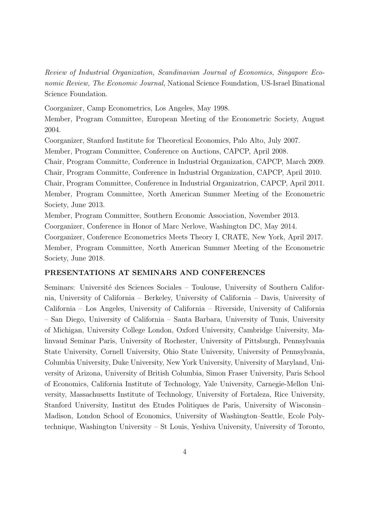Review of Industrial Organization, Scandinavian Journal of Economics, Singapore Economic Review, The Economic Journal, National Science Foundation, US-Israel Binational Science Foundation.

Coorganizer, Camp Econometrics, Los Angeles, May 1998.

Member, Program Committee, European Meeting of the Econometric Society, August 2004.

Coorganizer, Stanford Institute for Theoretical Economics, Palo Alto, July 2007. Member, Program Committee, Conference on Auctions, CAPCP, April 2008.

Chair, Program Committe, Conference in Industrial Organization, CAPCP, March 2009.

Chair, Program Committe, Conference in Industrial Organization, CAPCP, April 2010.

Chair, Program Committee, Conference in Industrial Organizatrion, CAPCP, April 2011. Member, Program Committee, North American Summer Meeting of the Econometric Society, June 2013.

Member, Program Committee, Southern Economic Association, November 2013. Coorganizer, Conference in Honor of Marc Nerlove, Washington DC, May 2014.

Coorganizer, Conference Econometrics Meets Theory I, CRATE, New York, April 2017. Member, Program Committee, North American Summer Meeting of the Econometric Society, June 2018.

## PRESENTATIONS AT SEMINARS AND CONFERENCES

Seminars: Université des Sciences Sociales – Toulouse, University of Southern California, University of California – Berkeley, University of California – Davis, University of California – Los Angeles, University of California – Riverside, University of California – San Diego, University of California – Santa Barbara, University of Tunis, University of Michigan, University College London, Oxford University, Cambridge University, Malinvaud Seminar Paris, University of Rochester, University of Pittsburgh, Pennsylvania State University, Cornell University, Ohio State University, University of Pennsylvania, Columbia University, Duke University, New York University, University of Maryland, University of Arizona, University of British Columbia, Simon Fraser University, Paris School of Economics, California Institute of Technology, Yale University, Carnegie-Mellon University, Massachusetts Institute of Technology, University of Fortaleza, Rice University, Stanford University, Institut des Etudes Politiques de Paris, University of Wisconsin– Madison, London School of Economics, University of Washington–Seattle, Ecole Polytechnique, Washington University – St Louis, Yeshiva University, University of Toronto,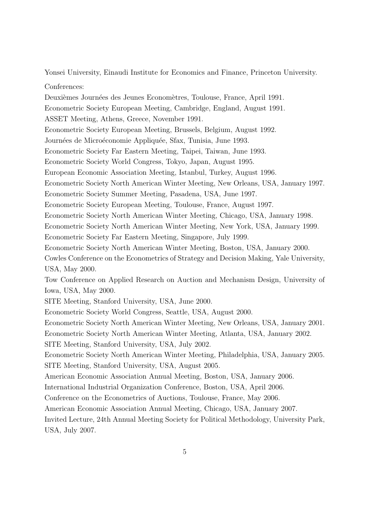Yonsei University, Einaudi Institute for Economics and Finance, Princeton University.

Conferences:

Deuxièmes Journées des Jeunes Economètres, Toulouse, France, April 1991.

Econometric Society European Meeting, Cambridge, England, August 1991.

ASSET Meeting, Athens, Greece, November 1991.

Econometric Society European Meeting, Brussels, Belgium, August 1992.

Journées de Microéconomie Appliquée, Sfax, Tunisia, June 1993.

Econometric Society Far Eastern Meeting, Taipei, Taiwan, June 1993.

Econometric Society World Congress, Tokyo, Japan, August 1995.

European Economic Association Meeting, Istanbul, Turkey, August 1996.

Econometric Society North American Winter Meeting, New Orleans, USA, January 1997.

Econometric Society Summer Meeting, Pasadena, USA, June 1997.

Econometric Society European Meeting, Toulouse, France, August 1997.

Econometric Society North American Winter Meeting, Chicago, USA, January 1998.

Econometric Society North American Winter Meeting, New York, USA, January 1999.

Econometric Society Far Eastern Meeting, Singapore, July 1999.

Econometric Society North American Winter Meeting, Boston, USA, January 2000.

Cowles Conference on the Econometrics of Strategy and Decision Making, Yale University, USA, May 2000.

Tow Conference on Applied Research on Auction and Mechanism Design, University of Iowa, USA, May 2000.

SITE Meeting, Stanford University, USA, June 2000.

Econometric Society World Congress, Seattle, USA, August 2000.

Econometric Society North American Winter Meeting, New Orleans, USA, January 2001.

Econometric Society North American Winter Meeting, Atlanta, USA, January 2002.

SITE Meeting, Stanford University, USA, July 2002.

Econometric Society North American Winter Meeting, Philadelphia, USA, January 2005. SITE Meeting, Stanford University, USA, August 2005.

American Economic Association Annual Meeting, Boston, USA, January 2006.

International Industrial Organization Conference, Boston, USA, April 2006.

Conference on the Econometrics of Auctions, Toulouse, France, May 2006.

American Economic Association Annual Meeting, Chicago, USA, January 2007.

Invited Lecture, 24th Annual Meeting Society for Political Methodology, University Park, USA, July 2007.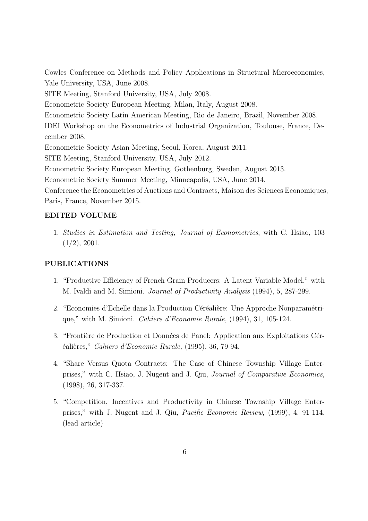Cowles Conference on Methods and Policy Applications in Structural Microeconomics, Yale University, USA, June 2008.

SITE Meeting, Stanford University, USA, July 2008.

Econometric Society European Meeting, Milan, Italy, August 2008.

Econometric Society Latin American Meeting, Rio de Janeiro, Brazil, November 2008.

IDEI Workshop on the Econometrics of Industrial Organization, Toulouse, France, December 2008.

Econometric Society Asian Meeting, Seoul, Korea, August 2011.

SITE Meeting, Stanford University, USA, July 2012.

Econometric Society European Meeting, Gothenburg, Sweden, August 2013.

Econometric Society Summer Meeting, Minneapolis, USA, June 2014.

Conference the Econometrics of Auctions and Contracts, Maison des Sciences Economiques, Paris, France, November 2015.

## EDITED VOLUME

1. Studies in Estimation and Testing, Journal of Econometrics, with C. Hsiao, 103  $(1/2), 2001.$ 

### PUBLICATIONS

- 1. "Productive Efficiency of French Grain Producers: A Latent Variable Model," with M. Ivaldi and M. Simioni. Journal of Productivity Analysis (1994), 5, 287-299.
- 2. "Economies d'Echelle dans la Production Céréalière: Une Approche Nonparamétrique," with M. Simioni. Cahiers d'Economie Rurale, (1994), 31, 105-124.
- 3. "Frontière de Production et Données de Panel: Application aux Exploitations Cér- $\acute{e}alières, "Caliers d'Economic Rurale, (1995), 36, 79-94.$
- 4. "Share Versus Quota Contracts: The Case of Chinese Township Village Enterprises," with C. Hsiao, J. Nugent and J. Qiu, Journal of Comparative Economics, (1998), 26, 317-337.
- 5. "Competition, Incentives and Productivity in Chinese Township Village Enterprises," with J. Nugent and J. Qiu, Pacific Economic Review, (1999), 4, 91-114. (lead article)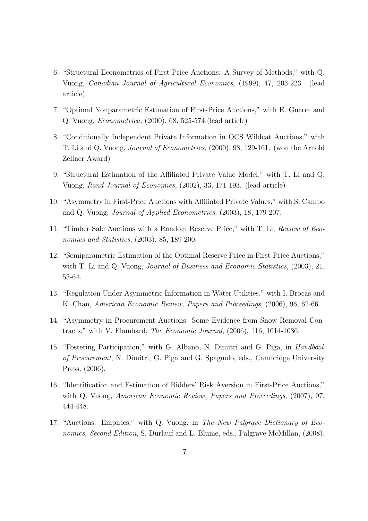- 6. "Structural Econometrics of First-Price Auctions: A Survey of Methods," with Q. Vuong, Canadian Journal of Agricultural Economics, (1999), 47, 203-223. (lead article)
- 7. "Optimal Nonparametric Estimation of First-Price Auctions," with E. Guerre and Q. Vuong, Econometrica, (2000), 68, 525-574.(lead article)
- 8. "Conditionally Independent Private Information in OCS Wildcat Auctions," with T. Li and Q. Vuong, Journal of Econometrics, (2000), 98, 129-161. (won the Arnold Zellner Award)
- 9. "Structural Estimation of the Affiliated Private Value Model," with T. Li and Q. Vuong, Rand Journal of Economics, (2002), 33, 171-193. (lead article)
- 10. "Asymmetry in First-Price Auctions with Affiliated Private Values," with S. Campo and Q. Vuong, Journal of Applied Econometrics, (2003), 18, 179-207.
- 11. "Timber Sale Auctions with a Random Reserve Price," with T. Li, Review of Economics and Statistics, (2003), 85, 189-200.
- 12. "Semiparametric Estimation of the Optimal Reserve Price in First-Price Auctions," with T. Li and Q. Vuong, *Journal of Business and Economic Statistics*,  $(2003)$ , 21, 53-64.
- 13. "Regulation Under Asymmetric Information in Water Utilities," with I. Brocas and K. Chan, American Economic Review, Papers and Proceedings, (2006), 96, 62-66.
- 14. "Asymmetry in Procurement Auctions: Some Evidence from Snow Removal Contracts," with V. Flambard, The Economic Journal, (2006), 116, 1014-1036.
- 15. "Fostering Participation," with G. Albano, N. Dimitri and G. Piga, in Handbook of Procurement, N. Dimitri, G. Piga and G. Spagnolo, eds., Cambridge University Press, (2006).
- 16. "Identification and Estimation of Bidders' Risk Aversion in First-Price Auctions," with Q. Vuong, American Economic Review, Papers and Proceedings, (2007), 97, 444-448.
- 17. "Auctions: Empirics," with Q. Vuong, in The New Palgrave Dictionary of Economics, Second Edition, S. Durlauf and L. Blume, eds., Palgrave McMillan, (2008).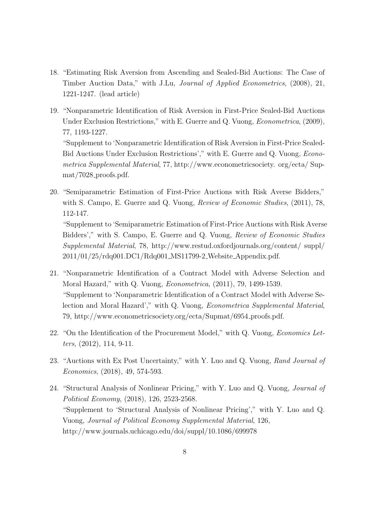- 18. "Estimating Risk Aversion from Ascending and Sealed-Bid Auctions: The Case of Timber Auction Data," with J.Lu, Journal of Applied Econometrics, (2008), 21, 1221-1247. (lead article)
- 19. "Nonparametric Identification of Risk Aversion in First-Price Sealed-Bid Auctions Under Exclusion Restrictions," with E. Guerre and Q. Vuong, Econometrica, (2009), 77, 1193-1227.

"Supplement to 'Nonparametric Identification of Risk Aversion in First-Price Sealed-Bid Auctions Under Exclusion Restrictions'," with E. Guerre and Q. Vuong, Econometrica Supplemental Material, 77, http://www.econometricsociety. org/ecta/ Supmat/7028 proofs.pdf.

20. "Semiparametric Estimation of First-Price Auctions with Risk Averse Bidders," with S. Campo, E. Guerre and Q. Vuong, Review of Economic Studies, (2011), 78, 112-147. "Supplement to 'Semiparametric Estimation of First-Price Auctions with Risk Averse Bidders'," with S. Campo, E. Guerre and Q. Vuong, Review of Economic Studies Supplemental Material, 78, http://www.restud.oxfordjournals.org/content/ suppl/

2011/01/25/rdq001.DC1/Rdq001 MS11799-2 Website Appendix.pdf.

- 21. "Nonparametric Identification of a Contract Model with Adverse Selection and Moral Hazard," with Q. Vuong, Econometrica, (2011), 79, 1499-1539. "Supplement to 'Nonparametric Identification of a Contract Model with Adverse Selection and Moral Hazard'," with Q. Vuong, Econometrica Supplemental Material, 79, http://www.econometricsociety.org/ecta/Supmat/6954 proofs.pdf.
- 22. "On the Identification of the Procurement Model," with Q. Vuong, Economics Letters, (2012), 114, 9-11.
- 23. "Auctions with Ex Post Uncertainty," with Y. Luo and Q. Vuong, Rand Journal of Economics, (2018), 49, 574-593.
- 24. "Structural Analysis of Nonlinear Pricing," with Y. Luo and Q. Vuong, Journal of Political Economy, (2018), 126, 2523-2568. "Supplement to 'Structural Analysis of Nonlinear Pricing'," with Y. Luo and Q. Vuong, Journal of Political Economy Supplemental Material, 126, http://www.journals.uchicago.edu/doi/suppl/10.1086/699978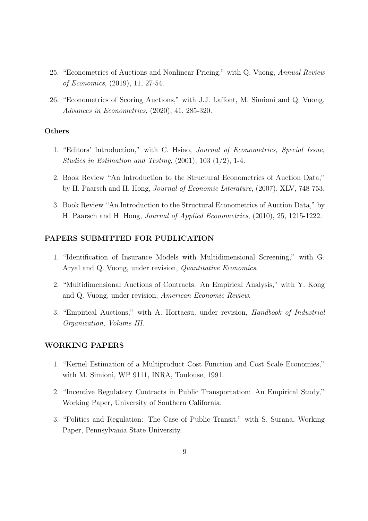- 25. "Econometrics of Auctions and Nonlinear Pricing," with Q. Vuong, Annual Review of Economics, (2019), 11, 27-54.
- 26. "Econometrics of Scoring Auctions," with J.J. Laffont, M. Simioni and Q. Vuong, Advances in Econometrics, (2020), 41, 285-320.

#### Others

- 1. "Editors' Introduction," with C. Hsiao, Journal of Econometrics, Special Issue, Studies in Estimation and Testing,  $(2001)$ ,  $103$   $(1/2)$ , 1-4.
- 2. Book Review "An Introduction to the Structural Econometrics of Auction Data," by H. Paarsch and H. Hong, Journal of Economic Literature, (2007), XLV, 748-753.
- 3. Book Review "An Introduction to the Structural Econometrics of Auction Data," by H. Paarsch and H. Hong, Journal of Applied Econometrics, (2010), 25, 1215-1222.

### PAPERS SUBMITTED FOR PUBLICATION

- 1. "Identification of Insurance Models with Multidimensional Screening," with G. Aryal and Q. Vuong, under revision, Quantitative Economics.
- 2. "Multidimensional Auctions of Contracts: An Empirical Analysis," with Y. Kong and Q. Vuong, under revision, American Economic Review.
- 3. "Empirical Auctions," with A. Hortacsu, under revision, Handbook of Industrial Organization, Volume III.

### WORKING PAPERS

- 1. "Kernel Estimation of a Multiproduct Cost Function and Cost Scale Economies," with M. Simioni, WP 9111, INRA, Toulouse, 1991.
- 2. "Incentive Regulatory Contracts in Public Transportation: An Empirical Study," Working Paper, University of Southern California.
- 3. "Politics and Regulation: The Case of Public Transit," with S. Surana, Working Paper, Pennsylvania State University.